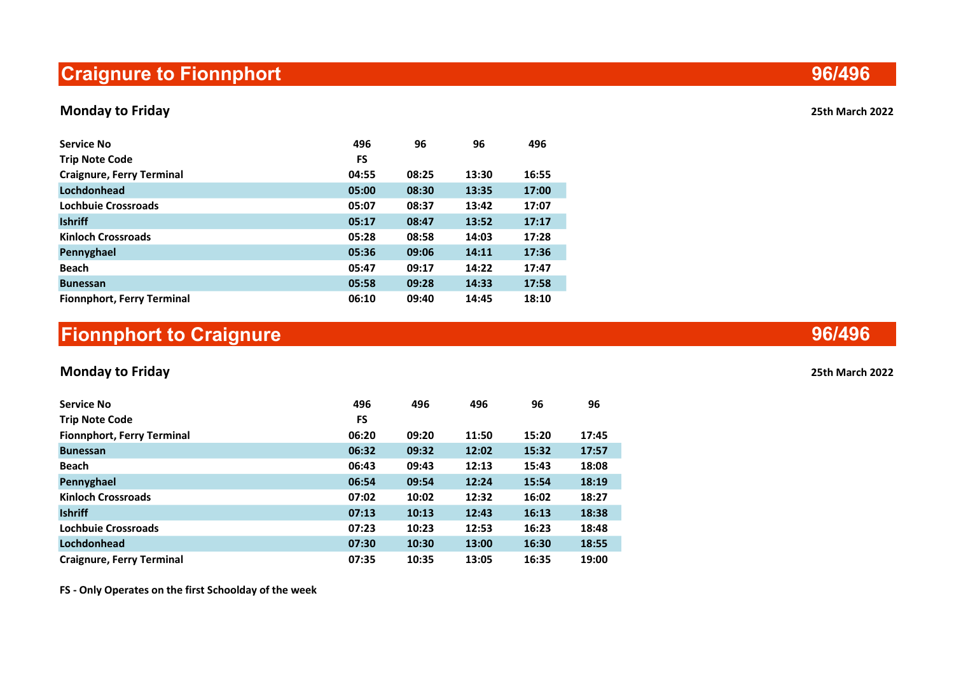# Craignure to Fionnphort

## Monday to Friday 25th March 2022

| <b>Service No</b><br><b>Trip Note Code</b> | 496<br>FS | 96    | 96    | 496   |
|--------------------------------------------|-----------|-------|-------|-------|
| <b>Craignure, Ferry Terminal</b>           | 04:55     | 08:25 | 13:30 | 16:55 |
| Lochdonhead                                | 05:00     | 08:30 | 13:35 | 17:00 |
| Lochbuie Crossroads                        | 05:07     | 08:37 | 13:42 | 17:07 |
| <b>Ishriff</b>                             | 05:17     | 08:47 | 13:52 | 17:17 |
| <b>Kinloch Crossroads</b>                  | 05:28     | 08:58 | 14:03 | 17:28 |
| Pennyghael                                 | 05:36     | 09:06 | 14:11 | 17:36 |
| <b>Beach</b>                               | 05:47     | 09:17 | 14:22 | 17:47 |
| <b>Bunessan</b>                            | 05:58     | 09:28 | 14:33 | 17:58 |
| <b>Fionnphort, Ferry Terminal</b>          | 06:10     | 09:40 | 14:45 | 18:10 |

# Fionnphort to Craignure

## Monday to Friday 25th March 2022

| <b>Service No</b>                 | 496       | 496   | 496   | 96    | 96    |
|-----------------------------------|-----------|-------|-------|-------|-------|
| <b>Trip Note Code</b>             | <b>FS</b> |       |       |       |       |
| <b>Fionnphort, Ferry Terminal</b> | 06:20     | 09:20 | 11:50 | 15:20 | 17:45 |
| <b>Bunessan</b>                   | 06:32     | 09:32 | 12:02 | 15:32 | 17:57 |
| <b>Beach</b>                      | 06:43     | 09:43 | 12:13 | 15:43 | 18:08 |
| Pennyghael                        | 06:54     | 09:54 | 12:24 | 15:54 | 18:19 |
| <b>Kinloch Crossroads</b>         | 07:02     | 10:02 | 12:32 | 16:02 | 18:27 |
| <b>Ishriff</b>                    | 07:13     | 10:13 | 12:43 | 16:13 | 18:38 |
| <b>Lochbuie Crossroads</b>        | 07:23     | 10:23 | 12:53 | 16:23 | 18:48 |
| Lochdonhead                       | 07:30     | 10:30 | 13:00 | 16:30 | 18:55 |
| <b>Craignure, Ferry Terminal</b>  | 07:35     | 10:35 | 13:05 | 16:35 | 19:00 |

FS - Only Operates on the first Schoolday of the week

96/496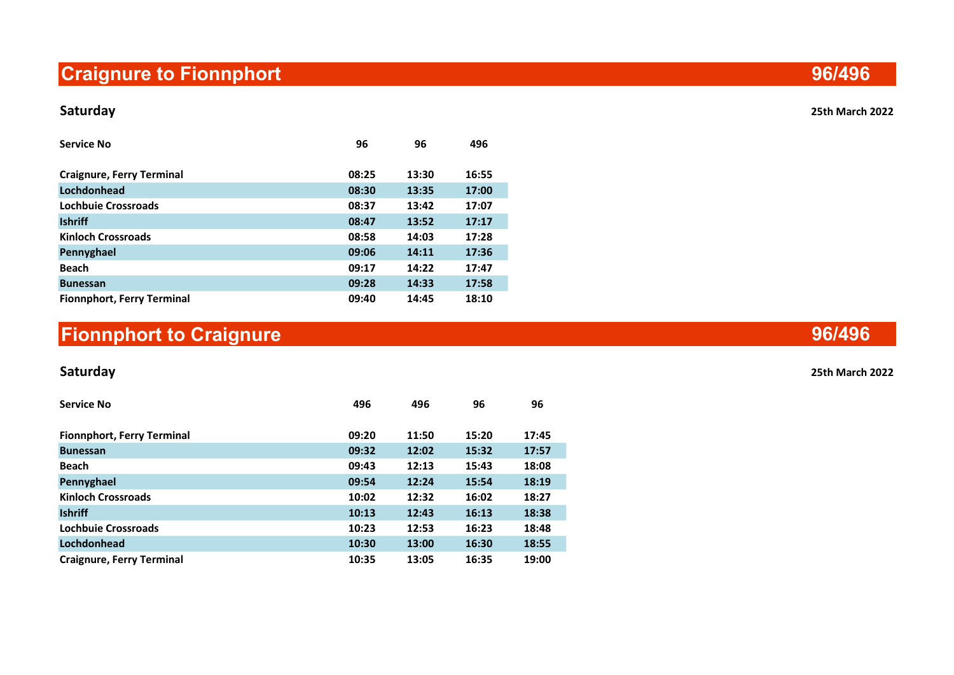# Craignure to Fionnphort

### Saturday 25th March 2022

| <b>Service No</b>                 | 96    | 96    | 496   |
|-----------------------------------|-------|-------|-------|
|                                   |       |       |       |
| <b>Craignure, Ferry Terminal</b>  | 08:25 | 13:30 | 16:55 |
| Lochdonhead                       | 08:30 | 13:35 | 17:00 |
| Lochbuie Crossroads               | 08:37 | 13:42 | 17:07 |
| <b>Ishriff</b>                    | 08:47 | 13:52 | 17:17 |
| <b>Kinloch Crossroads</b>         | 08:58 | 14:03 | 17:28 |
| Pennyghael                        | 09:06 | 14:11 | 17:36 |
| <b>Beach</b>                      | 09:17 | 14:22 | 17:47 |
| <b>Bunessan</b>                   | 09:28 | 14:33 | 17:58 |
| <b>Fionnphort, Ferry Terminal</b> | 09:40 | 14:45 | 18:10 |

# Fionnphort to Craignure

| <b>Service No</b>                 | 496   | 496   | 96    | 96    |
|-----------------------------------|-------|-------|-------|-------|
| <b>Fionnphort, Ferry Terminal</b> | 09:20 | 11:50 | 15:20 | 17:45 |
| <b>Bunessan</b>                   | 09:32 | 12:02 | 15:32 | 17:57 |
| <b>Beach</b>                      | 09:43 | 12:13 | 15:43 | 18:08 |
| Pennyghael                        | 09:54 | 12:24 | 15:54 | 18:19 |
| <b>Kinloch Crossroads</b>         | 10:02 | 12:32 | 16:02 | 18:27 |
| <b>Ishriff</b>                    | 10:13 | 12:43 | 16:13 | 18:38 |
| Lochbuie Crossroads               | 10:23 | 12:53 | 16:23 | 18:48 |
| Lochdonhead                       | 10:30 | 13:00 | 16:30 | 18:55 |
| <b>Craignure, Ferry Terminal</b>  | 10:35 | 13:05 | 16:35 | 19:00 |

96/496

## 96/496

Saturday 25th March 2022